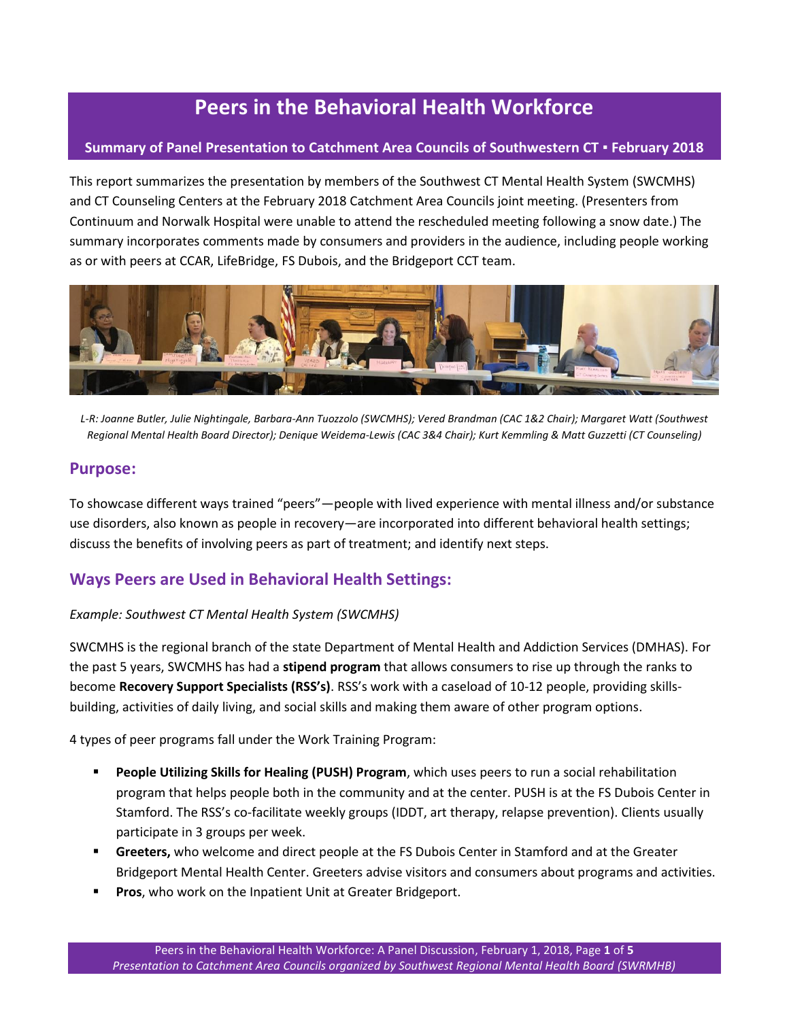# **Peers in the Behavioral Health Workforce**

#### **Summary of Panel Presentation to Catchment Area Councils of Southwestern CT ▪ February 2018**

This report summarizes the presentation by members of the Southwest CT Mental Health System (SWCMHS) and CT Counseling Centers at the February 2018 Catchment Area Councils joint meeting. (Presenters from Continuum and Norwalk Hospital were unable to attend the rescheduled meeting following a snow date.) The summary incorporates comments made by consumers and providers in the audience, including people working as or with peers at CCAR, LifeBridge, FS Dubois, and the Bridgeport CCT team.



*L-R: Joanne Butler, Julie Nightingale, Barbara-Ann Tuozzolo (SWCMHS); Vered Brandman (CAC 1&2 Chair); Margaret Watt (Southwest Regional Mental Health Board Director); Denique Weidema-Lewis (CAC 3&4 Chair); Kurt Kemmling & Matt Guzzetti (CT Counseling)*

#### **Purpose:**

To showcase different ways trained "peers"—people with lived experience with mental illness and/or substance use disorders, also known as people in recovery—are incorporated into different behavioral health settings; discuss the benefits of involving peers as part of treatment; and identify next steps.

### **Ways Peers are Used in Behavioral Health Settings:**

#### *Example: Southwest CT Mental Health System (SWCMHS)*

SWCMHS is the regional branch of the state Department of Mental Health and Addiction Services (DMHAS). For the past 5 years, SWCMHS has had a **stipend program** that allows consumers to rise up through the ranks to become **Recovery Support Specialists (RSS's)**. RSS's work with a caseload of 10-12 people, providing skillsbuilding, activities of daily living, and social skills and making them aware of other program options.

4 types of peer programs fall under the Work Training Program:

- **People Utilizing Skills for Healing (PUSH) Program**, which uses peers to run a social rehabilitation program that helps people both in the community and at the center. PUSH is at the FS Dubois Center in Stamford. The RSS's co-facilitate weekly groups (IDDT, art therapy, relapse prevention). Clients usually participate in 3 groups per week.
- **Greeters,** who welcome and direct people at the FS Dubois Center in Stamford and at the Greater Bridgeport Mental Health Center. Greeters advise visitors and consumers about programs and activities.
- **Pros**, who work on the Inpatient Unit at Greater Bridgeport.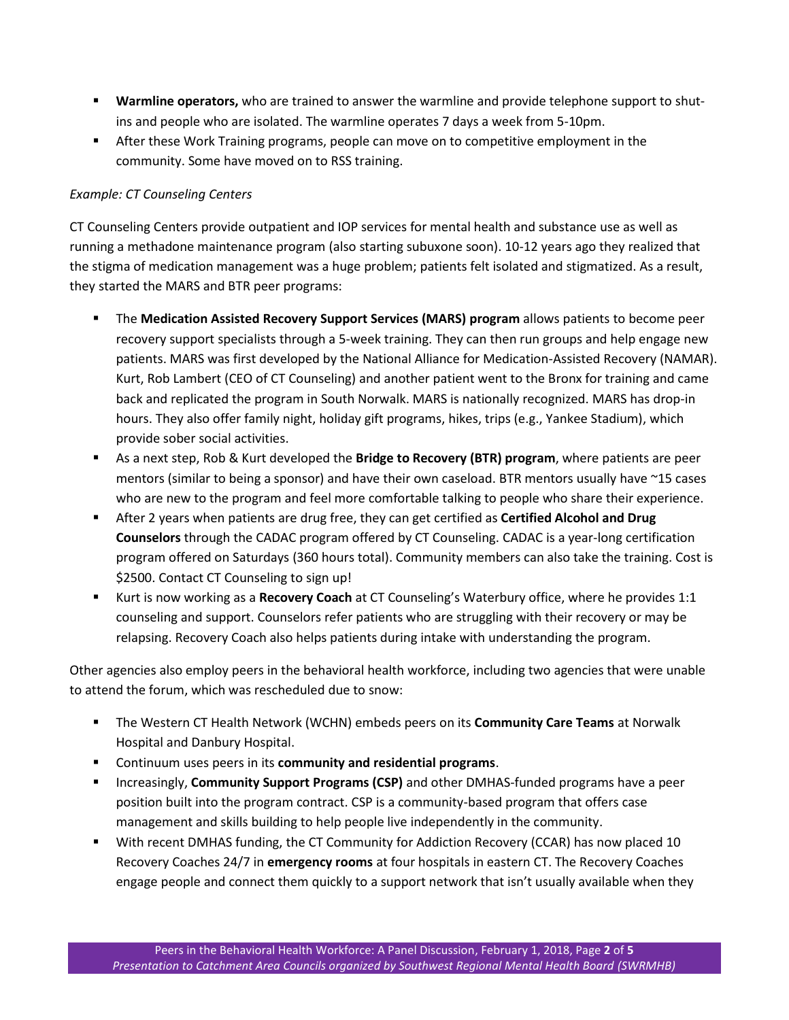- **Warmline operators,** who are trained to answer the warmline and provide telephone support to shutins and people who are isolated. The warmline operates 7 days a week from 5-10pm.
- **After these Work Training programs, people can move on to competitive employment in the** community. Some have moved on to RSS training.

#### *Example: CT Counseling Centers*

CT Counseling Centers provide outpatient and IOP services for mental health and substance use as well as running a methadone maintenance program (also starting subuxone soon). 10-12 years ago they realized that the stigma of medication management was a huge problem; patients felt isolated and stigmatized. As a result, they started the MARS and BTR peer programs:

- The **Medication Assisted Recovery Support Services (MARS) program** allows patients to become peer recovery support specialists through a 5-week training. They can then run groups and help engage new patients. MARS was first developed by the National Alliance for Medication-Assisted Recovery (NAMAR). Kurt, Rob Lambert (CEO of CT Counseling) and another patient went to the Bronx for training and came back and replicated the program in South Norwalk. MARS is nationally recognized. MARS has drop-in hours. They also offer family night, holiday gift programs, hikes, trips (e.g., Yankee Stadium), which provide sober social activities.
- As a next step, Rob & Kurt developed the **Bridge to Recovery (BTR) program**, where patients are peer mentors (similar to being a sponsor) and have their own caseload. BTR mentors usually have ~15 cases who are new to the program and feel more comfortable talking to people who share their experience.
- After 2 years when patients are drug free, they can get certified as **Certified Alcohol and Drug Counselors** through the CADAC program offered by CT Counseling. CADAC is a year-long certification program offered on Saturdays (360 hours total). Community members can also take the training. Cost is \$2500. Contact CT Counseling to sign up!
- Kurt is now working as a **Recovery Coach** at CT Counseling's Waterbury office, where he provides 1:1 counseling and support. Counselors refer patients who are struggling with their recovery or may be relapsing. Recovery Coach also helps patients during intake with understanding the program.

Other agencies also employ peers in the behavioral health workforce, including two agencies that were unable to attend the forum, which was rescheduled due to snow:

- The Western CT Health Network (WCHN) embeds peers on its **Community Care Teams** at Norwalk Hospital and Danbury Hospital.
- Continuum uses peers in its **community and residential programs**.
- Increasingly, **Community Support Programs (CSP)** and other DMHAS-funded programs have a peer position built into the program contract. CSP is a community-based program that offers case management and skills building to help people live independently in the community.
- With recent DMHAS funding, the CT Community for Addiction Recovery (CCAR) has now placed 10 Recovery Coaches 24/7 in **emergency rooms** at four hospitals in eastern CT. The Recovery Coaches engage people and connect them quickly to a support network that isn't usually available when they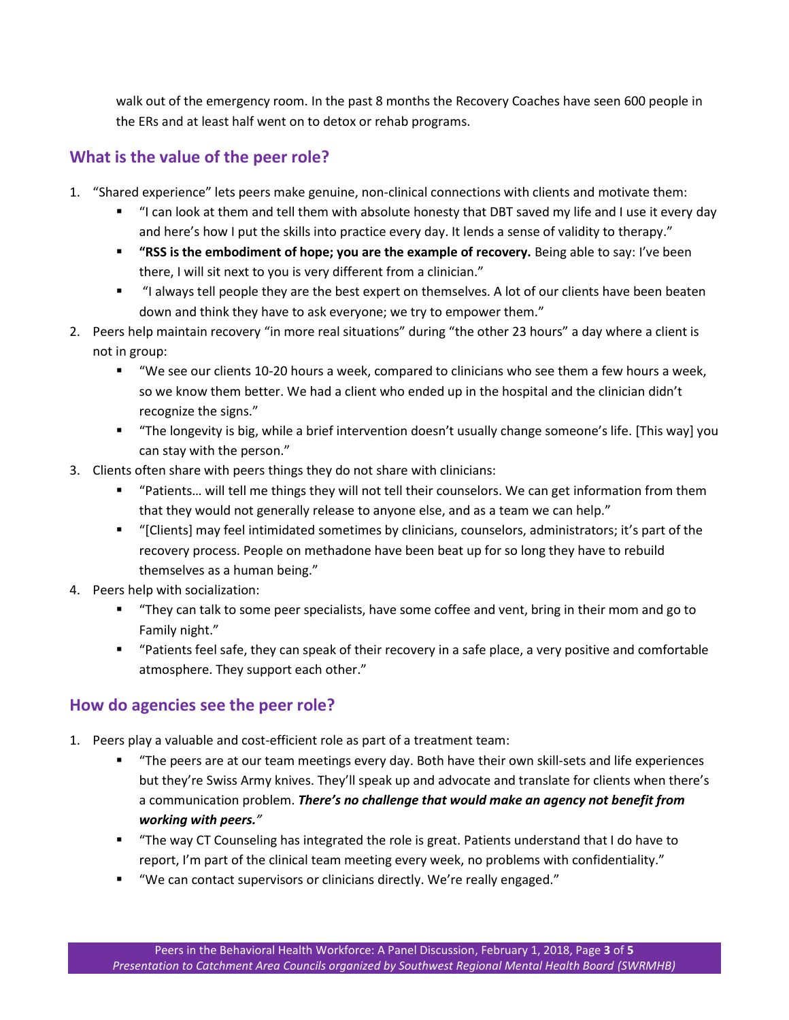walk out of the emergency room. In the past 8 months the Recovery Coaches have seen 600 people in the ERs and at least half went on to detox or rehab programs.

### **What is the value of the peer role?**

- 1. "Shared experience" lets peers make genuine, non-clinical connections with clients and motivate them:
	- "I can look at them and tell them with absolute honesty that DBT saved my life and I use it every day and here's how I put the skills into practice every day. It lends a sense of validity to therapy."
	- **"RSS is the embodiment of hope; you are the example of recovery.** Being able to say: I've been there, I will sit next to you is very different from a clinician."
	- "I always tell people they are the best expert on themselves. A lot of our clients have been beaten down and think they have to ask everyone; we try to empower them."
- 2. Peers help maintain recovery "in more real situations" during "the other 23 hours" a day where a client is not in group:
	- "We see our clients 10-20 hours a week, compared to clinicians who see them a few hours a week, so we know them better. We had a client who ended up in the hospital and the clinician didn't recognize the signs."
	- "The longevity is big, while a brief intervention doesn't usually change someone's life. [This way] you can stay with the person."
- 3. Clients often share with peers things they do not share with clinicians:
	- "Patients… will tell me things they will not tell their counselors. We can get information from them that they would not generally release to anyone else, and as a team we can help."
	- "[Clients] may feel intimidated sometimes by clinicians, counselors, administrators; it's part of the recovery process. People on methadone have been beat up for so long they have to rebuild themselves as a human being."
- 4. Peers help with socialization:
	- "They can talk to some peer specialists, have some coffee and vent, bring in their mom and go to Family night."
	- "Patients feel safe, they can speak of their recovery in a safe place, a very positive and comfortable atmosphere. They support each other."

## **How do agencies see the peer role?**

- 1. Peers play a valuable and cost-efficient role as part of a treatment team:
	- "The peers are at our team meetings every day. Both have their own skill-sets and life experiences but they're Swiss Army knives. They'll speak up and advocate and translate for clients when there's a communication problem. *There's no challenge that would make an agency not benefit from working with peers."*
	- "The way CT Counseling has integrated the role is great. Patients understand that I do have to report, I'm part of the clinical team meeting every week, no problems with confidentiality."
	- "We can contact supervisors or clinicians directly. We're really engaged."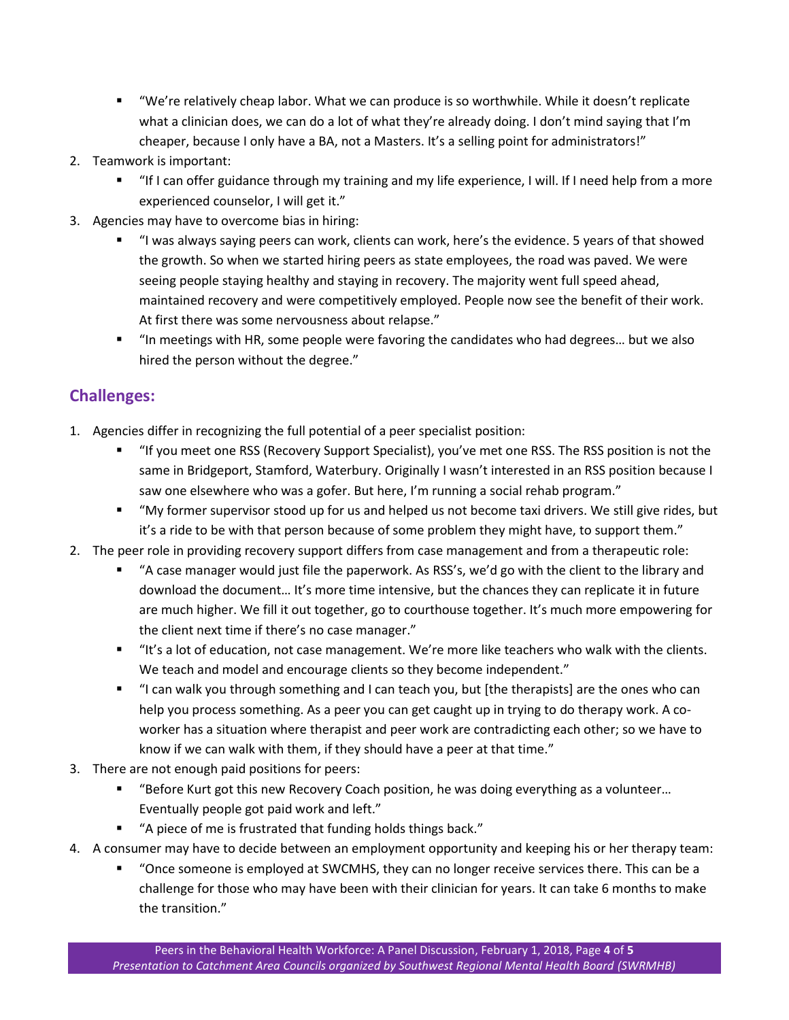- "We're relatively cheap labor. What we can produce is so worthwhile. While it doesn't replicate what a clinician does, we can do a lot of what they're already doing. I don't mind saying that I'm cheaper, because I only have a BA, not a Masters. It's a selling point for administrators!"
- 2. Teamwork is important:
	- "If I can offer guidance through my training and my life experience, I will. If I need help from a more experienced counselor, I will get it."
- 3. Agencies may have to overcome bias in hiring:
	- "I was always saying peers can work, clients can work, here's the evidence. 5 years of that showed the growth. So when we started hiring peers as state employees, the road was paved. We were seeing people staying healthy and staying in recovery. The majority went full speed ahead, maintained recovery and were competitively employed. People now see the benefit of their work. At first there was some nervousness about relapse."
	- "In meetings with HR, some people were favoring the candidates who had degrees… but we also hired the person without the degree."

### **Challenges:**

- 1. Agencies differ in recognizing the full potential of a peer specialist position:
	- "If you meet one RSS (Recovery Support Specialist), you've met one RSS. The RSS position is not the same in Bridgeport, Stamford, Waterbury. Originally I wasn't interested in an RSS position because I saw one elsewhere who was a gofer. But here, I'm running a social rehab program."
	- "My former supervisor stood up for us and helped us not become taxi drivers. We still give rides, but it's a ride to be with that person because of some problem they might have, to support them."
- 2. The peer role in providing recovery support differs from case management and from a therapeutic role:
	- "A case manager would just file the paperwork. As RSS's, we'd go with the client to the library and download the document… It's more time intensive, but the chances they can replicate it in future are much higher. We fill it out together, go to courthouse together. It's much more empowering for the client next time if there's no case manager."
	- "It's a lot of education, not case management. We're more like teachers who walk with the clients. We teach and model and encourage clients so they become independent."
	- "I can walk you through something and I can teach you, but [the therapists] are the ones who can help you process something. As a peer you can get caught up in trying to do therapy work. A coworker has a situation where therapist and peer work are contradicting each other; so we have to know if we can walk with them, if they should have a peer at that time."
- 3. There are not enough paid positions for peers:
	- "Before Kurt got this new Recovery Coach position, he was doing everything as a volunteer... Eventually people got paid work and left."
	- "A piece of me is frustrated that funding holds things back."
- 4. A consumer may have to decide between an employment opportunity and keeping his or her therapy team:
	- "Once someone is employed at SWCMHS, they can no longer receive services there. This can be a challenge for those who may have been with their clinician for years. It can take 6 months to make the transition."